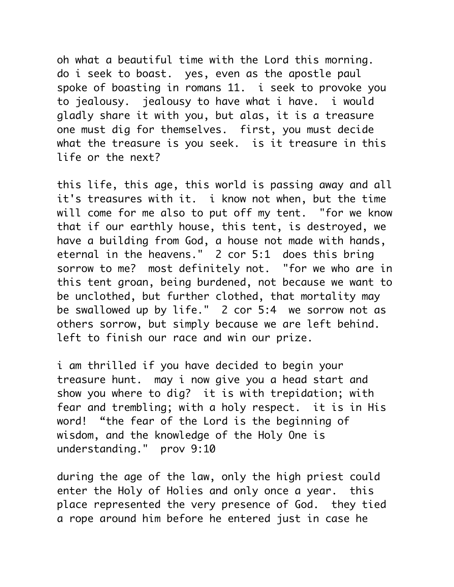oh what a beautiful time with the Lord this morning. do i seek to boast. yes, even as the apostle paul spoke of boasting in romans 11. i seek to provoke you to jealousy. jealousy to have what i have. i would gladly share it with you, but alas, it is a treasure one must dig for themselves. first, you must decide what the treasure is you seek. is it treasure in this life or the next?

this life, this age, this world is passing away and all it's treasures with it. i know not when, but the time will come for me also to put off my tent. "for we know that if our earthly house, this tent, is destroyed, we have a building from God, a house not made with hands, eternal in the heavens." 2 cor 5:1 does this bring sorrow to me? most definitely not. "for we who are in this tent groan, being burdened, not because we want to be unclothed, but further clothed, that mortality may be swallowed up by life." 2 cor 5:4 we sorrow not as others sorrow, but simply because we are left behind. left to finish our race and win our prize.

i am thrilled if you have decided to begin your treasure hunt. may i now give you a head start and show you where to dig? it is with trepidation; with fear and trembling; with a holy respect. it is in His word! "the fear of the Lord is the beginning of wisdom, and the knowledge of the Holy One is understanding." prov 9:10

during the age of the law, only the high priest could enter the Holy of Holies and only once a year. this place represented the very presence of God. they tied a rope around him before he entered just in case he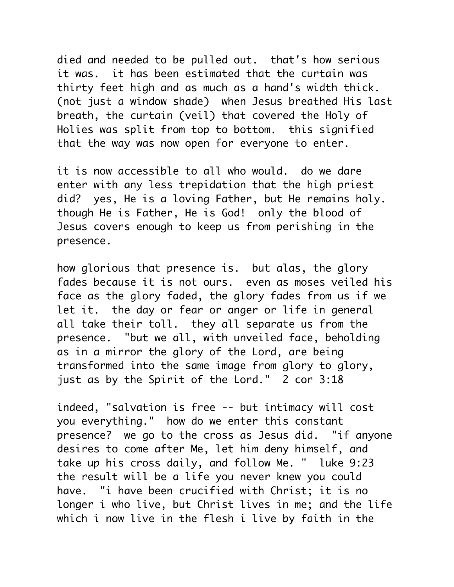died and needed to be pulled out. that's how serious it was. it has been estimated that the curtain was thirty feet high and as much as a hand's width thick. (not just a window shade) when Jesus breathed His last breath, the curtain (veil) that covered the Holy of Holies was split from top to bottom. this signified that the way was now open for everyone to enter.

it is now accessible to all who would. do we dare enter with any less trepidation that the high priest did? yes, He is a loving Father, but He remains holy. though He is Father, He is God! only the blood of Jesus covers enough to keep us from perishing in the presence.

how glorious that presence is. but alas, the glory fades because it is not ours. even as moses veiled his face as the glory faded, the glory fades from us if we let it. the day or fear or anger or life in general all take their toll. they all separate us from the presence. "but we all, with unveiled face, beholding as in a mirror the glory of the Lord, are being transformed into the same image from glory to glory, just as by the Spirit of the Lord." 2 cor 3:18

indeed, "salvation is free -- but intimacy will cost you everything." how do we enter this constant presence? we go to the cross as Jesus did. "if anyone desires to come after Me, let him deny himself, and take up his cross daily, and follow Me. " luke 9:23 the result will be a life you never knew you could have. "i have been crucified with Christ; it is no longer i who live, but Christ lives in me; and the life which i now live in the flesh i live by faith in the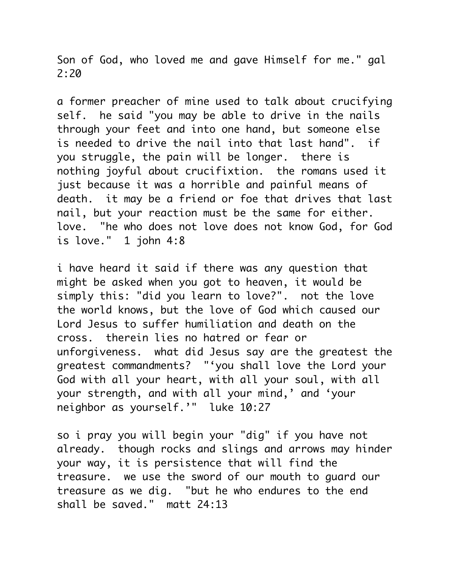Son of God, who loved me and gave Himself for me." gal 2:20

a former preacher of mine used to talk about crucifying self. he said "you may be able to drive in the nails through your feet and into one hand, but someone else is needed to drive the nail into that last hand". if you struggle, the pain will be longer. there is nothing joyful about crucifixtion. the romans used it just because it was a horrible and painful means of death. it may be a friend or foe that drives that last nail, but your reaction must be the same for either. love. "he who does not love does not know God, for God is love."  $1$  john  $4:8$ 

i have heard it said if there was any question that might be asked when you got to heaven, it would be simply this: "did you learn to love?". not the love the world knows, but the love of God which caused our Lord Jesus to suffer humiliation and death on the cross. therein lies no hatred or fear or unforgiveness. what did Jesus say are the greatest the greatest commandments? "'you shall love the Lord your God with all your heart, with all your soul, with all your strength, and with all your mind,' and 'your neighbor as yourself.'" luke 10:27

so i pray you will begin your "dig" if you have not already. though rocks and slings and arrows may hinder your way, it is persistence that will find the treasure. we use the sword of our mouth to guard our treasure as we dig. "but he who endures to the end shall be saved." matt 24:13